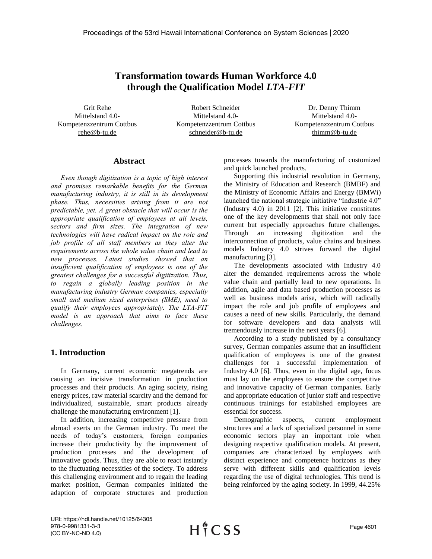# **Transformation towards Human Workforce 4.0 through the Qualification Model** *LTA-FIT*

Grit Rehe Mittelstand 4.0- Kompetenzzentrum Cottbus rehe@b-tu.de

Robert Schneider Mittelstand 4.0- Kompetenzzentrum Cottbus schneider@b-tu.de

Dr. Denny Thimm Mittelstand 4.0- Kompetenzzentrum Cottbus thimm@b-tu.de

## **Abstract**

*Even though digitization is a topic of high interest and promises remarkable benefits for the German manufacturing industry, it is still in its development phase. Thus, necessities arising from it are not predictable, yet. A great obstacle that will occur is the appropriate qualification of employees at all levels, sectors and firm sizes. The integration of new technologies will have radical impact on the role and job profile of all staff members as they alter the requirements across the whole value chain and lead to new processes. Latest studies showed that an insufficient qualification of employees is one of the greatest challenges for a successful digitization. Thus, to regain a globally leading position in the manufacturing industry German companies, especially small and medium sized enterprises (SME), need to qualify their employees appropriately. The LTA-FIT model is an approach that aims to face these challenges.* 

# **1. Introduction**

In Germany, current economic megatrends are causing an incisive transformation in production processes and their products. An aging society, rising energy prices, raw material scarcity and the demand for individualized, sustainable, smart products already challenge the manufacturing environment [1].

In addition, increasing competitive pressure from abroad exerts on the German industry. To meet the needs of today's customers, foreign companies increase their productivity by the improvement of production processes and the development of innovative goods. Thus, they are able to react instantly to the fluctuating necessities of the society. To address this challenging environment and to regain the leading market position, German companies initiated the adaption of corporate structures and production

processes towards the manufacturing of customized and quick launched products.

Supporting this industrial revolution in Germany, the Ministry of Education and Research (BMBF) and the Ministry of Economic Affairs and Energy (BMWi) launched the national strategic initiative "Industrie 4.0" (Industry 4.0) in 2011 [2]. This initiative constitutes one of the key developments that shall not only face current but especially approaches future challenges. Through an increasing digitization and the interconnection of products, value chains and business models Industry 4.0 strives forward the digital manufacturing [3].

The developments associated with Industry 4.0 alter the demanded requirements across the whole value chain and partially lead to new operations. In addition, agile and data based production processes as well as business models arise, which will radically impact the role and job profile of employees and causes a need of new skills. Particularly, the demand for software developers and data analysts will tremendously increase in the next years [6].

According to a study published by a consultancy survey, German companies assume that an insufficient qualification of employees is one of the greatest challenges for a successful implementation of Industry 4.0 [6]. Thus, even in the digital age, focus must lay on the employees to ensure the competitive and innovative capacity of German companies. Early and appropriate education of junior staff and respective continuous trainings for established employees are essential for success.

Demographic aspects, current employment structures and a lack of specialized personnel in some economic sectors play an important role when designing respective qualification models. At present, companies are characterized by employees with distinct experience and competence horizons as they serve with different skills and qualification levels regarding the use of digital technologies. This trend is being reinforced by the aging society. In 1999, 44.25%

URI: https://hdl.handle.net/10125/64305 978-0-9981331-3-3 (CC BY-NC-ND 4.0)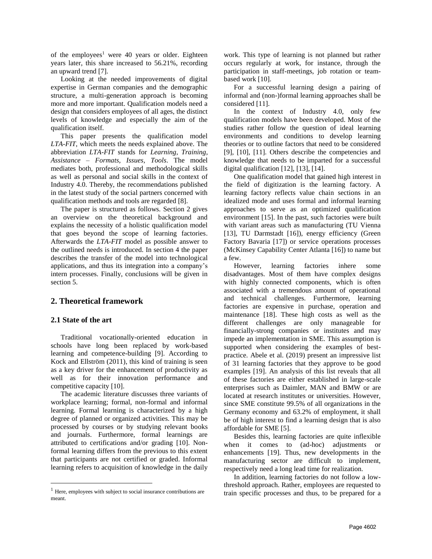of the employees<sup>1</sup> were 40 years or older. Eighteen years later, this share increased to 56.21%, recording an upward trend [7].

Looking at the needed improvements of digital expertise in German companies and the demographic structure, a multi-generation approach is becoming more and more important. Qualification models need a design that considers employees of all ages, the distinct levels of knowledge and especially the aim of the qualification itself.

This paper presents the qualification model *LTA-FIT*, which meets the needs explained above. The abbreviation *LTA-FIT* stands for *Learning*, *Training*, *Assistance* – *Formats, Issues, Tools*. The model mediates both, professional and methodological skills as well as personal and social skills in the context of Industry 4.0. Thereby, the recommendations published in the latest study of the social partners concerned with qualification methods and tools are regarded [8].

The paper is structured as follows. Section 2 gives an overview on the theoretical background and explains the necessity of a holistic qualification model that goes beyond the scope of learning factories. Afterwards the *LTA-FIT* model as possible answer to the outlined needs is introduced. In section 4 the paper describes the transfer of the model into technological applications, and thus its integration into a company's intern processes. Finally, conclusions will be given in section 5.

## **2. Theoretical framework**

#### **2.1 State of the art**

 $\overline{a}$ 

Traditional vocationally-oriented education in schools have long been replaced by work-based learning and competence-building [9]. According to Kock and Ellström (2011), this kind of training is seen as a key driver for the enhancement of productivity as well as for their innovation performance and competitive capacity [10].

The academic literature discusses three variants of workplace learning; formal, non-formal and informal learning. Formal learning is characterized by a high degree of planned or organized activities. This may be processed by courses or by studying relevant books and journals. Furthermore, formal learnings are attributed to certifications and/or grading [10]. Nonformal learning differs from the previous to this extent that participants are not certified or graded. Informal learning refers to acquisition of knowledge in the daily

work. This type of learning is not planned but rather occurs regularly at work, for instance, through the participation in staff-meetings, job rotation or teambased work [10].

For a successful learning design a pairing of informal and (non-)formal learning approaches shall be considered [11].

In the context of Industry 4.0, only few qualification models have been developed. Most of the studies rather follow the question of ideal learning environments and conditions to develop learning theories or to outline factors that need to be considered [9], [10], [11]. Others describe the competencies and knowledge that needs to be imparted for a successful digital qualification [12], [13], [14].

One qualification model that gained high interest in the field of digitization is the learning factory. A learning factory reflects value chain sections in an idealized mode and uses formal and informal learning approaches to serve as an optimized qualification environment [15]. In the past, such factories were built with variant areas such as manufacturing (TU Vienna [13], TU Darmstadt [16]), energy efficiency (Green Factory Bavaria [17]) or service operations processes (McKinsey Capability Center Atlanta [16]) to name but a few.

However, learning factories inhere some disadvantages. Most of them have complex designs with highly connected components, which is often associated with a tremendous amount of operational and technical challenges. Furthermore, learning factories are expensive in purchase, operation and maintenance [18]. These high costs as well as the different challenges are only manageable for financially-strong companies or institutes and may impede an implementation in SME. This assumption is supported when considering the examples of bestpractice. Abele et al. (2019) present an impressive list of 31 learning factories that they approve to be good examples [19]. An analysis of this list reveals that all of these factories are either established in large-scale enterprises such as Daimler, MAN and BMW or are located at research institutes or universities. However, since SME constitute 99.5% of all organizations in the Germany economy and 63.2% of employment, it shall be of high interest to find a learning design that is also affordable for SME [5].

Besides this, learning factories are quite inflexible when it comes to (ad-hoc) adjustments or enhancements [19]. Thus, new developments in the manufacturing sector are difficult to implement, respectively need a long lead time for realization.

In addition, learning factories do not follow a lowthreshold approach. Rather, employees are requested to train specific processes and thus, to be prepared for a

<sup>&</sup>lt;sup>1</sup> Here, employees with subject to social insurance contributions are meant.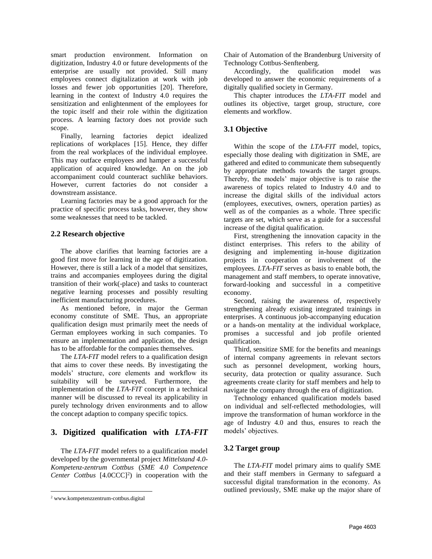smart production environment. Information on digitization, Industry 4.0 or future developments of the enterprise are usually not provided. Still many employees connect digitalization at work with job losses and fewer job opportunities [20]. Therefore, learning in the context of Industry 4.0 requires the sensitization and enlightenment of the employees for the topic itself and their role within the digitization process. A learning factory does not provide such scope.

Finally, learning factories depict idealized replications of workplaces [15]. Hence, they differ from the real workplaces of the individual employee. This may outface employees and hamper a successful application of acquired knowledge. An on the job accompaniment could counteract suchlike behaviors. However, current factories do not consider a downstream assistance.

Learning factories may be a good approach for the practice of specific process tasks, however, they show some weaknesses that need to be tackled.

## **2.2 Research objective**

The above clarifies that learning factories are a good first move for learning in the age of digitization. However, there is still a lack of a model that sensitizes, trains and accompanies employees during the digital transition of their work(-place) and tasks to counteract negative learning processes and possibly resulting inefficient manufacturing procedures.

As mentioned before, in major the German economy constitute of SME. Thus, an appropriate qualification design must primarily meet the needs of German employees working in such companies. To ensure an implementation and application, the design has to be affordable for the companies themselves.

The *LTA-FIT* model refers to a qualification design that aims to cover these needs. By investigating the models' structure, core elements and workflow its suitability will be surveyed. Furthermore, the implementation of the *LTA-FIT* concept in a technical manner will be discussed to reveal its applicability in purely technology driven environments and to allow the concept adaption to company specific topics.

# **3. Digitized qualification with** *LTA-FIT*

The *LTA-FIT* model refers to a qualification model developed by the governmental project *Mittelstand 4.0- Kompetenz-zentrum Cottbus* (*SME 4.0 Competence Center Cottbus*  $[4.0CCC]^2$  in cooperation with the Chair of Automation of the Brandenburg University of Technology Cottbus-Senftenberg.

Accordingly, the qualification model was developed to answer the economic requirements of a digitally qualified society in Germany.

This chapter introduces the *LTA-FIT* model and outlines its objective, target group, structure, core elements and workflow.

## **3.1 Objective**

Within the scope of the *LTA-FIT* model, topics, especially those dealing with digitization in SME, are gathered and edited to communicate them subsequently by appropriate methods towards the target groups. Thereby, the models' major objective is to raise the awareness of topics related to Industry 4.0 and to increase the digital skills of the individual actors (employees, executives, owners, operation parties) as well as of the companies as a whole. Three specific targets are set, which serve as a guide for a successful increase of the digital qualification.

First, strengthening the innovation capacity in the distinct enterprises. This refers to the ability of designing and implementing in-house digitization projects in cooperation or involvement of the employees. *LTA-FIT* serves as basis to enable both, the management and staff members, to operate innovative, forward-looking and successful in a competitive economy.

Second, raising the awareness of, respectively strengthening already existing integrated trainings in enterprises. A continuous job-accompanying education or a hands-on mentality at the individual workplace, promises a successful and job profile oriented qualification.

Third, sensitize SME for the benefits and meanings of internal company agreements in relevant sectors such as personnel development, working hours, security, data protection or quality assurance. Such agreements create clarity for staff members and help to navigate the company through the era of digitization.

Technology enhanced qualification models based on individual and self-reflected methodologies, will improve the transformation of human workforce in the age of Industry 4.0 and thus, ensures to reach the models' objectives.

# **3.2 Target group**

The *LTA-FIT* model primary aims to qualify SME and their staff members in Germany to safeguard a successful digital transformation in the economy. As outlined previously, SME make up the major share of

 $\overline{a}$ <sup>2</sup> www.kompetenzzentrum-cottbus.digital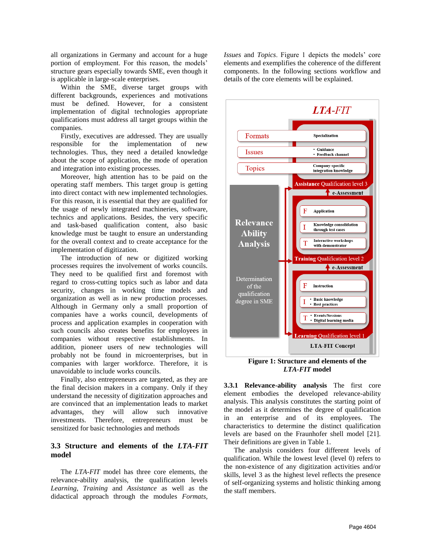all organizations in Germany and account for a huge portion of employment. For this reason, the models' structure gears especially towards SME, even though it is applicable in large-scale enterprises.

Within the SME, diverse target groups with different backgrounds, experiences and motivations must be defined. However, for a consistent implementation of digital technologies appropriate qualifications must address all target groups within the companies.

Firstly, executives are addressed. They are usually responsible for the implementation of new technologies. Thus, they need a detailed knowledge about the scope of application, the mode of operation and integration into existing processes.

Moreover, high attention has to be paid on the operating staff members. This target group is getting into direct contact with new implemented technologies. For this reason, it is essential that they are qualified for the usage of newly integrated machineries, software, technics and applications. Besides, the very specific and task-based qualification content, also basic knowledge must be taught to ensure an understanding for the overall context and to create acceptance for the implementation of digitization.

The introduction of new or digitized working processes requires the involvement of works councils. They need to be qualified first and foremost with regard to cross-cutting topics such as labor and data security, changes in working time models and organization as well as in new production processes. Although in Germany only a small proportion of companies have a works council, developments of process and application examples in cooperation with such councils also creates benefits for employees in companies without respective establishments. In addition, pioneer users of new technologies will probably not be found in microenterprises, but in companies with larger workforce. Therefore, it is unavoidable to include works councils.

Finally, also entrepreneurs are targeted, as they are the final decision makers in a company. Only if they understand the necessity of digitization approaches and are convinced that an implementation leads to market advantages, they will allow such innovative investments. Therefore, entrepreneurs must be sensitized for basic technologies and methods

## **3.3 Structure and elements of the** *LTA-FIT* **model**

The *LTA-FIT* model has three core elements, the relevance-ability analysis, the qualification levels *Learning, Training* and *Assistance* as well as the didactical approach through the modules *Formats,* 

*Issues* and *Topics*. Figure 1 depicts the models' core elements and exemplifies the coherence of the different components. In the following sections workflow and details of the core elements will be explained.



*LTA-FIT* **model**

**3.3.1 Relevance-ability analysis** The first core element embodies the developed relevance-ability analysis. This analysis constitutes the starting point of the model as it determines the degree of qualification in an enterprise and of its employees. The characteristics to determine the distinct qualification levels are based on the Fraunhofer shell model [21]. Their definitions are given in Table 1.

The analysis considers four different levels of qualification. While the lowest level (level 0) refers to the non-existence of any digitization activities and/or skills, level 3 as the highest level reflects the presence of self-organizing systems and holistic thinking among the staff members.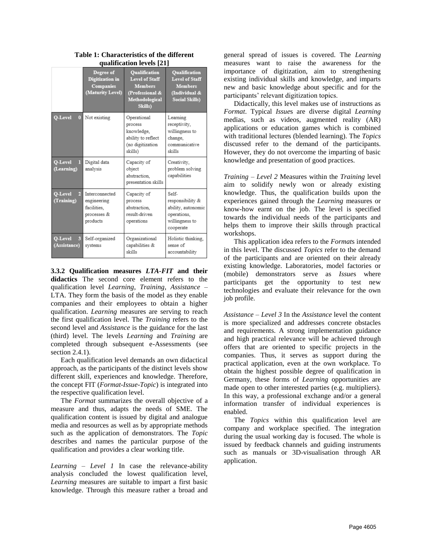|                              | Degree of<br><b>Digitization</b> in<br><b>Companies</b><br>(Maturity Level) | <b>Oualification</b><br><b>Level of Staff</b><br><b>Members</b><br>(Professional &<br>Methodological<br>Skills) | <b>Oualification</b><br><b>Level of Staff</b><br><b>Members</b><br>(Individual &<br><b>Social Skills)</b> |
|------------------------------|-----------------------------------------------------------------------------|-----------------------------------------------------------------------------------------------------------------|-----------------------------------------------------------------------------------------------------------|
| O-Level<br>$\bf{0}$          | Not existing                                                                | Operational<br>process<br>knowledge,<br>ability to reflect<br>(no digitization<br>skills)                       | Learning<br>receptivity,<br>willingness to<br>change,<br>communicative<br>skills                          |
| O-Level<br>П<br>(Learning)   | Digital data<br>analysis                                                    | Capacity of<br>object<br>abstraction.<br>presentation skills                                                    | Creativity,<br>problem solving<br>capabilities                                                            |
| O-Level<br>2<br>(Training)   | Interconnected<br>engineering<br>facilities.<br>processes &<br>products     | Capacity of<br>process<br>abstraction.<br>result-driven<br>operations                                           | Self-<br>responsibility &<br>ability, autonomic<br>operations,<br>willingness to<br>cooperate             |
| O-Level<br>3<br>(Assistance) | Self-organized<br>systems                                                   | Organizational<br>capabilities &<br>skills                                                                      | Holistic thinking,<br>sense of<br>accountability                                                          |

**Table 1: Characteristics of the different qualification levels [21]**

**3.3.2 Qualification measures** *LTA-FIT* **and their didactics** The second core element refers to the qualification level *Learning*, *Training*, *Assistance* – LTA. They form the basis of the model as they enable companies and their employees to obtain a higher qualification. *Learning* measures are serving to reach the first qualification level. The *Training* refers to the second level and *Assistance* is the guidance for the last (third) level. The levels *Learning* and *Training* are completed through subsequent e-Assessments (see section 2.4.1).

Each qualification level demands an own didactical approach, as the participants of the distinct levels show different skill, experiences and knowledge. Therefore, the concept FIT (*Format*-*Issue*-*Topic*) is integrated into the respective qualification level.

The *Format* summarizes the overall objective of a measure and thus, adapts the needs of SME. The qualification content is issued by digital and analogue media and resources as well as by appropriate methods such as the application of demonstrators. The *Topic* describes and names the particular purpose of the qualification and provides a clear working title.

*Learning – Level 1* In case the relevance-ability analysis concluded the lowest qualification level, *Learning* measures are suitable to impart a first basic knowledge. Through this measure rather a broad and

general spread of issues is covered. The *Learning* measures want to raise the awareness for the importance of digitization, aim to strengthening existing individual skills and knowledge, and imparts new and basic knowledge about specific and for the participants' relevant digitization topics.

Didactically, this level makes use of instructions as *Format*. Typical *Issue*s are diverse digital *Learning* medias, such as videos, augmented reality (AR) applications or education games which is combined with traditional lectures (blended learning). The *Topics* discussed refer to the demand of the participants. However, they do not overcome the imparting of basic knowledge and presentation of good practices.

*Training – Level 2* Measures within the *Training* level aim to solidify newly won or already existing knowledge. Thus, the qualification builds upon the experiences gained through the *Learning* measures or know-how earnt on the job. The level is specified towards the individual needs of the participants and helps them to improve their skills through practical workshops.

This application idea refers to the *Format*s intended in this level. The discussed *Topics* refer to the demand of the participants and are oriented on their already existing knowledge. Laboratories, model factories or (mobile) demonstrators serve as *Issue*s where participants get the opportunity to test new technologies and evaluate their relevance for the own job profile.

*Assistance – Level 3* In the *Assistance* level the content is more specialized and addresses concrete obstacles and requirements. A strong implementation guidance and high practical relevance will be achieved through offers that are oriented to specific projects in the companies. Thus, it serves as support during the practical application, even at the own workplace. To obtain the highest possible degree of qualification in Germany, these forms of *Learning* opportunities are made open to other interested parties (e.g. multipliers). In this way, a professional exchange and/or a general information transfer of individual experiences is enabled.

The *Topics* within this qualification level are company and workplace specified. The integration during the usual working day is focused. The whole is issued by feedback channels and guiding instruments such as manuals or 3D-visualisation through AR application.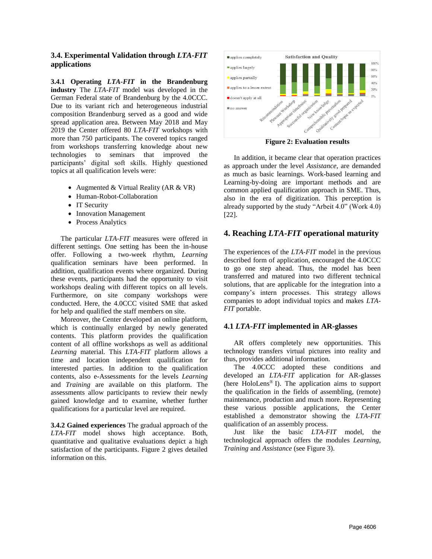## **3.4. Experimental Validation through** *LTA-FIT* **applications**

**3.4.1 Operating** *LTA-FIT* **in the Brandenburg industry** The *LTA-FIT* model was developed in the German Federal state of Brandenburg by the 4.0CCC. Due to its variant rich and heterogeneous industrial composition Brandenburg served as a good and wide spread application area. Between May 2018 and May 2019 the Center offered 80 *LTA-FIT* workshops with more than 750 participants. The covered topics ranged from workshops transferring knowledge about new technologies to seminars that improved the participants' digital soft skills. Highly questioned topics at all qualification levels were:

- Augmented & Virtual Reality (AR & VR)
- Human-Robot-Collaboration
- IT Security
- Innovation Management
- Process Analytics

The particular *LTA-FIT* measures were offered in different settings. One setting has been the in-house offer. Following a two-week rhythm, *Learning* qualification seminars have been performed. In addition, qualification events where organized. During these events, participants had the opportunity to visit workshops dealing with different topics on all levels. Furthermore, on site company workshops were conducted. Here, the 4.0CCC visited SME that asked for help and qualified the staff members on site.

Moreover, the Center developed an online platform, which is continually enlarged by newly generated contents. This platform provides the qualification content of all offline workshops as well as additional *Learning* material. This *LTA-FIT* platform allows a time and location independent qualification for interested parties. In addition to the qualification contents, also e-Assessments for the levels *Learning* and *Training* are available on this platform. The assessments allow participants to review their newly gained knowledge and to examine, whether further qualifications for a particular level are required.

**3.4.2 Gained experiences** The gradual approach of the *LTA-FIT* model shows high acceptance. Both, quantitative and qualitative evaluations depict a high satisfaction of the participants. Figure 2 gives detailed information on this.



**Figure 2: Evaluation results**

In addition, it became clear that operation practices as approach under the level *Assistance*, are demanded as much as basic learnings. Work-based learning and Learning-by-doing are important methods and are common applied qualification approach in SME. Thus, also in the era of digitization. This perception is already supported by the study "Arbeit 4.0" (Work 4.0) [22].

# **4. Reaching** *LTA-FIT* **operational maturity**

The experiences of the *LTA-FIT* model in the previous described form of application, encouraged the 4.0CCC to go one step ahead. Thus, the model has been transferred and matured into two different technical solutions, that are applicable for the integration into a company's intern processes. This strategy allows companies to adopt individual topics and makes *LTA-FIT* portable.

## **4.1** *LTA-FIT* **implemented in AR-glasses**

AR offers completely new opportunities. This technology transfers virtual pictures into reality and thus, provides additional information.

The 4.0CCC adopted these conditions and developed an *LTA-FIT* application for AR-glasses (here HoloLens® I). The application aims to support the qualification in the fields of assembling, (remote) maintenance, production and much more. Representing these various possible applications, the Center established a demonstrator showing the *LTA-FIT* qualification of an assembly process.

Just like the basic *LTA-FIT* model, the technological approach offers the modules *Learning*, *Training* and *Assistance* (see Figure 3).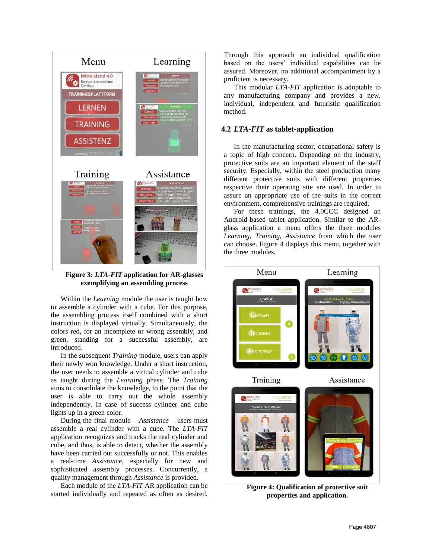

**Figure 3:** *LTA-FIT* **application for AR-glasses exemplifying an assembling process**

Within the *Learning* module the user is taught how to assemble a cylinder with a cube. For this purpose, the assembling process itself combined with a short instruction is displayed virtually. Simultaneously, the colors red, for an incomplete or wrong assembly, and green, standing for a successful assembly, are introduced.

In the subsequent *Training* module, users can apply their newly won knowledge. Under a short instruction, the user needs to assemble a virtual cylinder and cube as taught during the *Learning* phase. The *Training* aims to consolidate the knowledge, to the point that the user is able to carry out the whole assembly independently. In case of success cylinder and cube lights up in a green color.

During the final module – *Assistance* – users must assemble a real cylinder with a cube. The *LTA-FIT* application recognizes and tracks the real cylinder and cube, and thus, is able to detect, whether the assembly have been carried out successfully or not. This enables a real-time *Assistance*, especially for new and sophisticated assembly processes. Concurrently, a quality management through *Assistance* is provided.

Each module of the *LTA-FIT* AR application can be started individually and repeated as often as desired.

Through this approach an individual qualification based on the users' individual capabilities can be assured. Moreover, no additional accompaniment by a proficient is necessary.

This modular *LTA-FIT* application is adoptable to any manufacturing company and provides a new, individual, independent and futuristic qualification method.

#### **4.2** *LTA-FIT* **as tablet-application**

In the manufacturing sector, occupational safety is a topic of high concern. Depending on the industry, protective suits are an important element of the staff security. Especially, within the steel production many different protective suits with different properties respective their operating site are used. In order to assure an appropriate use of the suits in the correct environment, comprehensive trainings are required.

For these trainings, the 4.0CCC designed an Android-based tablet application. Similar to the ARglass application a menu offers the three modules *Learning*, *Training*, *Assistance* from which the user can choose. Figure 4 displays this menu, together with the three modules.



**Figure 4: Qualification of protective suit properties and application.**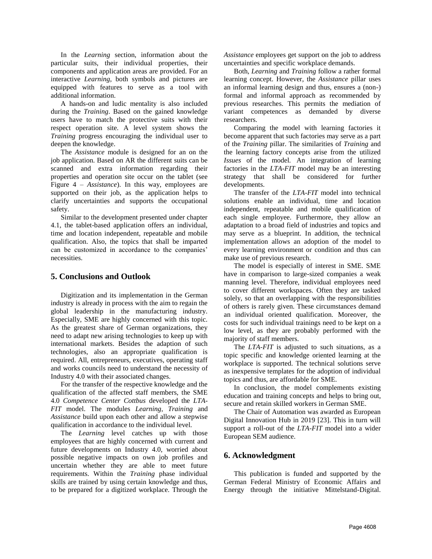In the *Learning* section, information about the particular suits, their individual properties, their components and application areas are provided. For an interactive *Learning*, both symbols and pictures are equipped with features to serve as a tool with additional information.

A hands-on and ludic mentality is also included during the *Training*. Based on the gained knowledge users have to match the protective suits with their respect operation site. A level system shows the *Training* progress encouraging the individual user to deepen the knowledge.

The *Assistance* module is designed for an on the job application. Based on AR the different suits can be scanned and extra information regarding their properties and operation site occur on the tablet (see Figure 4 – *Assistance*). In this way, employees are supported on their job, as the application helps to clarify uncertainties and supports the occupational safety.

Similar to the development presented under chapter 4.1, the tablet-based application offers an individual, time and location independent, repeatable and mobile qualification. Also, the topics that shall be imparted can be customized in accordance to the companies' necessities.

# **5. Conclusions and Outlook**

Digitization and its implementation in the German industry is already in process with the aim to regain the global leadership in the manufacturing industry. Especially, SME are highly concerned with this topic. As the greatest share of German organizations, they need to adapt new arising technologies to keep up with international markets. Besides the adaption of such technologies, also an appropriate qualification is required. All, entrepreneurs, executives, operating staff and works councils need to understand the necessity of Industry 4.0 with their associated changes.

For the transfer of the respective knowledge and the qualification of the affected staff members, the SME 4.0 *Competence Center Cottbus* developed the *LTA-FIT* model. The modules *Learning*, *Training* and *Assistance* build upon each other and allow a stepwise qualification in accordance to the individual level.

The *Learning* level catches up with those employees that are highly concerned with current and future developments on Industry 4.0, worried about possible negative impacts on own job profiles and uncertain whether they are able to meet future requirements. Within the *Training* phase individual skills are trained by using certain knowledge and thus, to be prepared for a digitized workplace. Through the

*Assistance* employees get support on the job to address uncertainties and specific workplace demands.

Both, *Learning* and *Training* follow a rather formal learning concept. However, the *Assistance* pillar uses an informal learning design and thus, ensures a (non-) formal and informal approach as recommended by previous researches. This permits the mediation of variant competences as demanded by diverse researchers.

Comparing the model with learning factories it become apparent that such factories may serve as a part of the *Training* pillar. The similarities of *Training* and the learning factory concepts arise from the utilized *Issues* of the model*.* An integration of learning factories in the *LTA-FIT* model may be an interesting strategy that shall be considered for further developments.

The transfer of the *LTA-FIT* model into technical solutions enable an individual, time and location independent, repeatable and mobile qualification of each single employee. Furthermore, they allow an adaptation to a broad field of industries and topics and may serve as a blueprint. In addition, the technical implementation allows an adoption of the model to every learning environment or condition and thus can make use of previous research.

The model is especially of interest in SME. SME have in comparison to large-sized companies a weak manning level. Therefore, individual employees need to cover different workspaces. Often they are tasked solely, so that an overlapping with the responsibilities of others is rarely given. These circumstances demand an individual oriented qualification. Moreover, the costs for such individual trainings need to be kept on a low level, as they are probably performed with the majority of staff members.

The *LTA-FIT* is adjusted to such situations, as a topic specific and knowledge oriented learning at the workplace is supported. The technical solutions serve as inexpensive templates for the adoption of individual topics and thus, are affordable for SME.

In conclusion, the model complements existing education and training concepts and helps to bring out, secure and retain skilled workers in German SME.

The Chair of Automation was awarded as European Digital Innovation Hub in 2019 [23]. This in turn will support a roll-out of the *LTA-FIT* model into a wider European SEM audience.

## **6. Acknowledgment**

This publication is funded and supported by the German Federal Ministry of Economic Affairs and Energy through the initiative Mittelstand-Digital.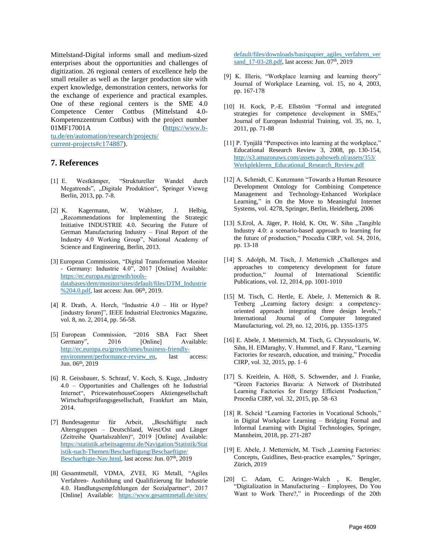Mittelstand-Digital informs small and medium-sized enterprises about the opportunities and challenges of digitization. 26 regional centers of excellence help the small retailer as well as the larger production site with expert knowledge, demonstration centers, networks for the exchange of experience and practical examples. One of these regional centers is the SME 4.0 Competence Center Cottbus (Mittelstand 4.0- Kompetenzzentrum Cottbus) with the project number 01MF17001A [\(https://www.b](https://www.b-tu.de/en/automation/research/projects/current-projects#c174887)[tu.de/en/automation/research/projects/](https://www.b-tu.de/en/automation/research/projects/current-projects#c174887)

[current-projects#c174887\)](https://www.b-tu.de/en/automation/research/projects/current-projects#c174887).

### **7. References**

- [1] E. Westkämper, "Struktureller Wandel durch Megatrends", "Digitale Produktion", Springer Vieweg Berlin, 2013, pp. 7-8.
- [2] K. Kagermann, W. Wahlster, J. Helbig, "Recommendations for Implementing the Strategic Initiative INDUSTRIE 4.0. Securing the Future of German Manufacturing Industry – Final Report of the Industry 4.0 Working Group", National Academy of Science and Engineering, Berlin, 2013.
- [3] European Commission, "Digital Transformation Monitor - Germany: Industrie 4.0", 2017 [Online] Available: [https://ec.europa.eu/growth/tools](https://ec.europa.eu/growth/tools-databases/dem/monitor/sites/default/files/DTM_Industrie%204.0.pdf)[databases/dem/monitor/sites/default/files/DTM\\_Industrie](https://ec.europa.eu/growth/tools-databases/dem/monitor/sites/default/files/DTM_Industrie%204.0.pdf) [%204.0.pdf,](https://ec.europa.eu/growth/tools-databases/dem/monitor/sites/default/files/DTM_Industrie%204.0.pdf) last access: Jun. 06<sup>th</sup>, 2019.
- [4] R. Drath, A. Horch, "Industrie 4.0 Hit or Hype? [industry forum]", IEEE Industrial Electronics Magazine, vol. 8, no. 2, 2014, pp. 56-58.
- [5] European Commission, "2016 SBA Fact Sheet Germany", 2016 [Online] Available: [http://ec.europa.eu/growth/smes/business-friendly](http://ec.europa.eu/growth/smes/business-friendly-environment/performance-review_en)[environment/performance-review\\_en,](http://ec.europa.eu/growth/smes/business-friendly-environment/performance-review_en) last access: Jun. 06th, 2019
- [6] R. Geissbauer, S. Schrauf, V. Koch, S. Kuge, "Industry 4.0 – Opportunities and Challenges oft he Industrial Internet", PricewaterhouseCoopers Aktiengesellschaft Wirtschaftsprüfungsgesellschaft, Frankfurt am Main, 2014.
- [7] Bundesagentur für Arbeit, "Beschäftigte nach Altersgruppen – Deutschland, West/Ost und Länger (Zeitreihe Quartalszahlen)", 2019 [Online] Available: [https://statistik.arbeitsagentur.de/Navigation/Statistik/Stat](https://statistik.arbeitsagentur.de/Navigation/Statistik/Statistik-nach-Themen/Beschaeftigung/Beschaeftigte/Beschaeftigte-Nav.html) [istik-nach-Themen/Beschaeftigung/Beschaeftigte/](https://statistik.arbeitsagentur.de/Navigation/Statistik/Statistik-nach-Themen/Beschaeftigung/Beschaeftigte/Beschaeftigte-Nav.html) [Beschaeftigte-Nav.html,](https://statistik.arbeitsagentur.de/Navigation/Statistik/Statistik-nach-Themen/Beschaeftigung/Beschaeftigte/Beschaeftigte-Nav.html) last access: Jun. 07<sup>th</sup>, 2019
- [8] Gesamtmetall, VDMA, ZVEI, IG Metall, "Agiles Verfahren- Ausbildung und Qualifizierung für Industrie 4.0. Handlungsempfehlungen der Sozialpartner", 2017 [Online] Available: [https://www.gesamtmetall.de/sites/](https://www.gesamtmetall.de/sites/default/files/downloads/basispapier_agiles_verfahren_versand_17-03-28.pdf)

[default/files/downloads/basispapier\\_agiles\\_verfahren\\_ver](https://www.gesamtmetall.de/sites/default/files/downloads/basispapier_agiles_verfahren_versand_17-03-28.pdf) [sand\\_17-03-28.pdf,](https://www.gesamtmetall.de/sites/default/files/downloads/basispapier_agiles_verfahren_versand_17-03-28.pdf) last access: Jun. 07<sup>th</sup>, 2019

- [9] K. Illeris, "Workplace learning and learning theory" Journal of Workplace Learning, vol. 15, no 4, 2003, pp. 167-178
- [10] H. Kock, P.-E. Ellström "Formal and integrated strategies for competence development in SMEs," Journal of European Industrial Training, vol. 35, no. 1, 2011, pp. 71-88
- [11] P. Tynjälä "Perspectives into learning at the workplace," Educational Research Review 3, 2008, pp. 130-154, [http://s3.amazonaws.com/assets.paboweb.nl/assets/353/](http://s3.amazonaws.com/assets.paboweb.nl/assets/353/Werkplekleren_Educational_Research_Review.pdf) [Werkplekleren\\_Educational\\_Research\\_Review.pdf](http://s3.amazonaws.com/assets.paboweb.nl/assets/353/Werkplekleren_Educational_Research_Review.pdf)
- [12] A. Schmidt, C. Kunzmann "Towards a Human Resource Development Ontology for Combining Competence Management and Technology-Enhanced Workplace Learning," in On the Move to Meaningful Internet Systems, vol. 4278, Springer, Berlin, Heidelberg, 2006
- [13] S.Erol, A. Jäger, P. Hold, K. Ott, W. Sihn "Tangible Industry 4.0: a scenario-based approach to learning for the future of production," Procedia CIRP, vol. 54, 2016, pp. 13-18
- [14] S. Adolph, M. Tisch, J. Metternich "Challenges and approaches to competency development for future production," Journal of International Scientific Publications, vol. 12, 2014, pp. 1001-1010
- [15] M. Tisch, C. Hertle, E. Abele, J. Metternich & R. Tenberg "Learning factory design: a competencyoriented approach integrating three design levels," International Journal of Computer Integrated Manufacturing, vol. 29, no. 12, 2016, pp. 1355-1375
- [16] E. Abele, J. Metternich, M. Tisch, G. Chryssolouris, W. Sihn, H. ElMaraghy, V. Hummel, and F. Ranz, "Learning Factories for research, education, and training," Procedia CIRP, vol. 32, 2015, pp. 1–6
- [17] S. Kreitlein, A. Höft, S. Schwender, and J. Franke, "Green Factories Bavaria: A Network of Distributed Learning Factories for Energy Efficient Production," Procedia CIRP, vol. 32, 2015, pp. 58–63
- [18] R. Scheid "Learning Factories in Vocational Schools," in Digital Workplace Learning – Bridging Formal and Informal Learning with Digital Technologies, Springer, Mannheim, 2018, pp. 271-287
- [19] E. Abele, J. Metternicht, M. Tisch "Learning Factories: Concepts, Guidlines, Best-practice examples," Springer, Zürich, 2019
- [20] C. Adam, C. Aringer-Walch, K. Bengler, "Digitalization in Manufacturing – Employees, Do You Want to Work There?," in Proceedings of the 20th